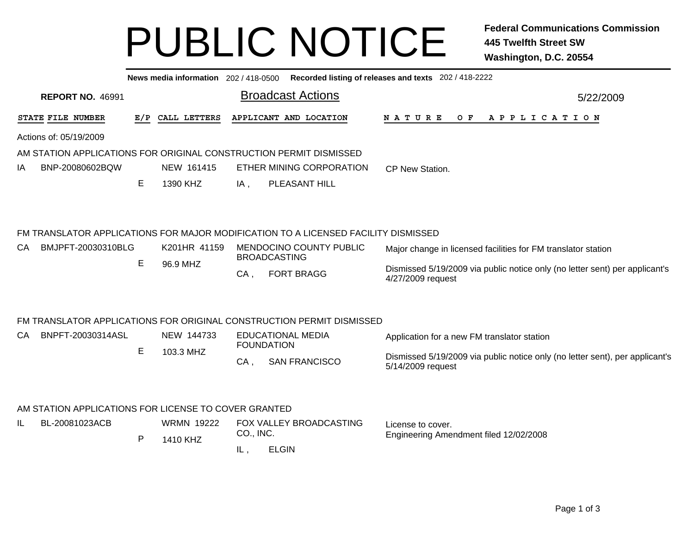## PUBLIC NOTICE **Federal Communications Commission 445 Twelfth Street SW Washington, D.C. 20554**

|                                                                    |              | News media information 202 / 418-0500 |           |                                                                                    | Recorded listing of releases and texts 202 / 418-2222                                            |
|--------------------------------------------------------------------|--------------|---------------------------------------|-----------|------------------------------------------------------------------------------------|--------------------------------------------------------------------------------------------------|
| <b>REPORT NO. 46991</b>                                            |              |                                       |           | <b>Broadcast Actions</b>                                                           | 5/22/2009                                                                                        |
| STATE FILE NUMBER                                                  |              | E/P CALL LETTERS                      |           | APPLICANT AND LOCATION                                                             | O F<br>APPLICATION<br>N A T U R E                                                                |
| Actions of: 05/19/2009                                             |              |                                       |           |                                                                                    |                                                                                                  |
| AM STATION APPLICATIONS FOR ORIGINAL CONSTRUCTION PERMIT DISMISSED |              |                                       |           |                                                                                    |                                                                                                  |
| BNP-20080602BQW<br>ΙA                                              |              | NEW 161415                            |           | ETHER MINING CORPORATION                                                           | CP New Station.                                                                                  |
|                                                                    | Е            | 1390 KHZ                              | IA,       | PLEASANT HILL                                                                      |                                                                                                  |
|                                                                    |              |                                       |           | FM TRANSLATOR APPLICATIONS FOR MAJOR MODIFICATION TO A LICENSED FACILITY DISMISSED |                                                                                                  |
| BMJPFT-20030310BLG<br>CA                                           |              | K201HR 41159                          |           | MENDOCINO COUNTY PUBLIC                                                            | Major change in licensed facilities for FM translator station                                    |
|                                                                    | E            | 96.9 MHZ                              |           | <b>BROADCASTING</b>                                                                |                                                                                                  |
|                                                                    |              |                                       | $CA$ ,    | <b>FORT BRAGG</b>                                                                  | Dismissed 5/19/2009 via public notice only (no letter sent) per applicant's<br>4/27/2009 request |
|                                                                    |              |                                       |           | FM TRANSLATOR APPLICATIONS FOR ORIGINAL CONSTRUCTION PERMIT DISMISSED              |                                                                                                  |
| BNPFT-20030314ASL<br>CA                                            |              | NEW 144733                            |           | <b>EDUCATIONAL MEDIA</b>                                                           | Application for a new FM translator station                                                      |
|                                                                    | E            | 103.3 MHZ                             |           | <b>FOUNDATION</b>                                                                  | Dismissed 5/19/2009 via public notice only (no letter sent), per applicant's                     |
|                                                                    |              |                                       | $CA$ ,    | <b>SAN FRANCISCO</b>                                                               | 5/14/2009 request                                                                                |
|                                                                    |              |                                       |           |                                                                                    |                                                                                                  |
| AM STATION APPLICATIONS FOR LICENSE TO COVER GRANTED               |              |                                       |           |                                                                                    |                                                                                                  |
| IL.<br>BL-20081023ACB                                              |              | <b>WRMN 19222</b>                     | CO., INC. | FOX VALLEY BROADCASTING                                                            | License to cover.<br>Engineering Amendment filed 12/02/2008                                      |
|                                                                    | $\mathsf{P}$ | 1410 KHZ                              |           |                                                                                    |                                                                                                  |
|                                                                    |              |                                       | IL,       | <b>ELGIN</b>                                                                       |                                                                                                  |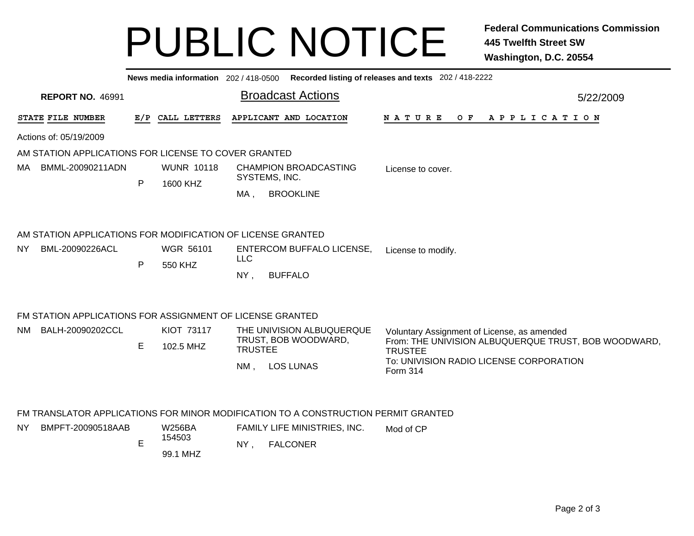## PUBLIC NOTICE **Federal Communications Commission 445 Twelfth Street SW Washington, D.C. 20554**

|     | Recorded listing of releases and texts 202 / 418-2222<br>News media information 202 / 418-0500 |              |                                |                                               |                                                                                    |                                                                                                                       |           |  |  |  |  |  |
|-----|------------------------------------------------------------------------------------------------|--------------|--------------------------------|-----------------------------------------------|------------------------------------------------------------------------------------|-----------------------------------------------------------------------------------------------------------------------|-----------|--|--|--|--|--|
|     | <b>REPORT NO. 46991</b>                                                                        |              |                                |                                               | <b>Broadcast Actions</b>                                                           |                                                                                                                       | 5/22/2009 |  |  |  |  |  |
|     | STATE FILE NUMBER                                                                              |              | E/P CALL LETTERS               |                                               | APPLICANT AND LOCATION                                                             | <b>NATURE</b><br>$O$ $F$<br>A P P L I C A T I O N                                                                     |           |  |  |  |  |  |
|     | Actions of: 05/19/2009                                                                         |              |                                |                                               |                                                                                    |                                                                                                                       |           |  |  |  |  |  |
|     | AM STATION APPLICATIONS FOR LICENSE TO COVER GRANTED                                           |              |                                |                                               |                                                                                    |                                                                                                                       |           |  |  |  |  |  |
| MA. | BMML-20090211ADN                                                                               |              | <b>WUNR 10118</b>              | <b>CHAMPION BROADCASTING</b><br>SYSTEMS, INC. |                                                                                    |                                                                                                                       |           |  |  |  |  |  |
|     |                                                                                                | $\mathsf{P}$ | 1600 KHZ                       | MA,                                           | <b>BROOKLINE</b>                                                                   |                                                                                                                       |           |  |  |  |  |  |
|     | AM STATION APPLICATIONS FOR MODIFICATION OF LICENSE GRANTED                                    |              |                                |                                               |                                                                                    |                                                                                                                       |           |  |  |  |  |  |
| NY. | BML-20090226ACL                                                                                | $\mathsf{P}$ | <b>WGR 56101</b><br>550 KHZ    | <b>LLC</b><br>NY,                             | <b>ENTERCOM BUFFALO LICENSE,</b><br><b>BUFFALO</b>                                 | License to modify.                                                                                                    |           |  |  |  |  |  |
|     | FM STATION APPLICATIONS FOR ASSIGNMENT OF LICENSE GRANTED                                      |              |                                |                                               |                                                                                    |                                                                                                                       |           |  |  |  |  |  |
| NM. | BALH-20090202CCL                                                                               | E            | <b>KIOT 73117</b><br>102.5 MHZ | <b>TRUSTEE</b>                                | THE UNIVISION ALBUQUERQUE<br>TRUST, BOB WOODWARD,                                  | Voluntary Assignment of License, as amended<br>From: THE UNIVISION ALBUQUERQUE TRUST, BOB WOODWARD,<br><b>TRUSTEE</b> |           |  |  |  |  |  |
|     |                                                                                                |              |                                | $NM$ ,                                        | <b>LOS LUNAS</b>                                                                   | To: UNIVISION RADIO LICENSE CORPORATION<br>Form 314                                                                   |           |  |  |  |  |  |
|     |                                                                                                |              |                                |                                               | FM TRANSLATOR APPLICATIONS FOR MINOR MODIFICATION TO A CONSTRUCTION PERMIT GRANTED |                                                                                                                       |           |  |  |  |  |  |
| NY. | BMPFT-20090518AAB                                                                              |              | <b>W256BA</b>                  |                                               | FAMILY LIFE MINISTRIES, INC.                                                       |                                                                                                                       |           |  |  |  |  |  |
|     |                                                                                                | $\mathsf E$  | 154503<br>99.1 MHZ             | NY,                                           | <b>FALCONER</b>                                                                    |                                                                                                                       |           |  |  |  |  |  |